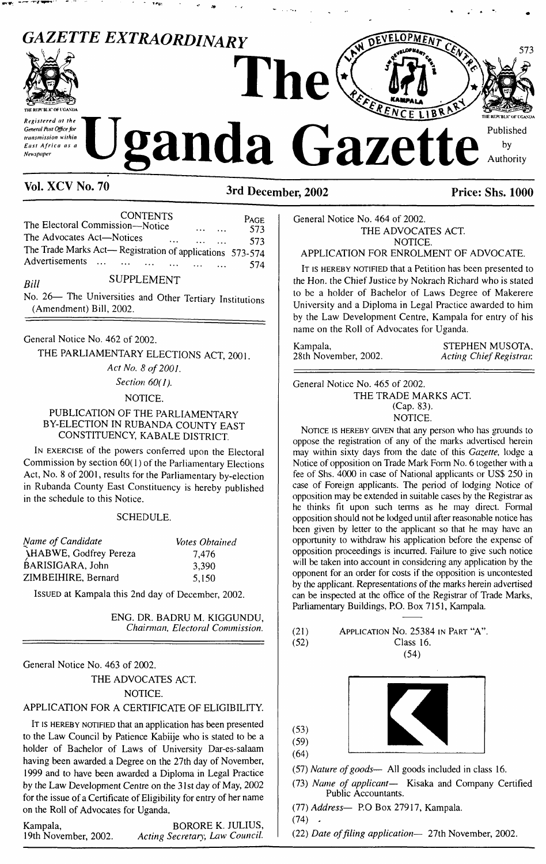

**Vol. XCV No. <sup>70</sup> 3rd December, <sup>2002</sup> Price: Shs. <sup>1000</sup>**

CONTENTS pAGE The Electoral Commission—Notice .......... 573 The Advocates Act—Notices ...................... 573 The Trade Marks Act— Registration of applications 573-574 Advertisements ... ... ... ... ... ... ... ... 574

# Bill SUPPLEMENT

No. 26— The Universities and Other Tertiary Institutions (Amendment) Bill, 2002.

General Notice No. 462 of 2002.

THE PARLIAMENTARY ELECTIONS ACT, 2001.

#### *Act No. 8 of 2001.*

*Section 60(1).*

## NOTICE.

## PUBLICATION OF THE PARLIAMENTARY BY-ELECTION IN RUBANDA COUNTY EAST CONSTITUENCY, KABALE DISTRICT

I<sup>n</sup> exercise of the powers conferred upon the Electoral Commission by section 60( 1) of the Parliamentary Elections Act, No. 8 of 2001, results for the Parliamentary by-election in Rubanda County East Constituency is hereby published in the schedule to this Notice.

#### SCHEDULE.

| Name of Candidate            | Votes Obtained |
|------------------------------|----------------|
| <b>HABWE, Godfrey Pereza</b> | 7.476          |
| BARISIGARA, John             | 3.390          |
| ZIMBEIHIRE, Bernard          | 5.150          |

Issued at Kampala this 2nd day of December, 2002.

ENG. DR. BADRU M. KIGGUNDU, *Chairman, Electoral Commission.*

General Notice No. 463 of 2002.

THE ADVOCATES ACT.

NOTICE.

## APPLICATION FOR A CERTIFICATE OF ELIGIBILITY.

IT IS HEREBY NOTIFIED that an application has been presented to the Law Council by Patience Kabiije who is stated to be a holder of Bachelor of Laws of University Dar-es-salaam having been awarded a Degree on the 27th day of November, 1999 and to have been awarded a Diploma in Legal Practice by the Law Development Centre on the 31st day of May, 2002 for the issue of a Certificate of Eligibility for entry of her name on the Roll of Advocates for Uganda,

Kampala, BORORE K. JULIUS,<br>19th November, 2002. Acting Secretary, Law Council.

19th November, 2002. *Acting Secretary, Law Council.*

General Notice No. 464 of 2002. THE ADVOCATES ACT. NOTICE.

APPLICATION FOR ENROLMENT OF ADVOCATE.

It is hereby notified that a Petition has been presented to the Hon. the Chief Justice by Nokrach Richard who is stated to be a holder of Bachelor of Laws Degree of Makerere University and a Diploma in Legal Practice awarded to him by the Law Development Centre, Kampala for entry of his name on the Roll of Advocates for Uganda.

Kampala, STEPHEN MUSOTA, STEPHEN MUSOTA, 28th November, 2002. 28th November, 2002. *Acting ChiefRegistrar.*

General Notice No. 465 of 2002. THE TRADE MARKS ACT. (Cap. 83). NOTICE.

NOTICE IS HEREBY GIVEN that any person who has grounds to oppose the registration of any of the marks advertised herein may within sixty days from the date of this *Gazette,* lodge a Notice of opposition on Trade Mark Form No. 6 together with a fee of Shs. 4000 in case of National applicants or US\$ 250 in case of Foreign applicants. The period of lodging Notice of opposition may be extended in suitable cases by the Registrar as he thinks fit upon such terms as he may direct. Formal opposition should not be lodged until after reasonable notice has been given by letter to the applicant so that he may have an opportunity to withdraw his application before the expense of opposition proceedings is incurred. Failure to give such notice will be taken into account in considering any application by the opponent for an order for costs if the opposition is uncontested by the applicant. Representations of the marks herein advertised can be inspected at the office of the Registrar of Trade Marks, Parliamentary Buildings, P.O. Box 7151, Kampala.

| (21) | APPLICATION NO. 25384 IN PART "A". |
|------|------------------------------------|
| (52) | Class 16.                          |





(57) *Nature ofgoods—* All goods included in class 16.

(73) *Name of applicant—* Kisaka and Company Certified Public Accountants.

(77) *Address—* P.O Box 27917, Kampala.  $(74)$ .

(22) *Date offiling application—* 27th November, 2002.